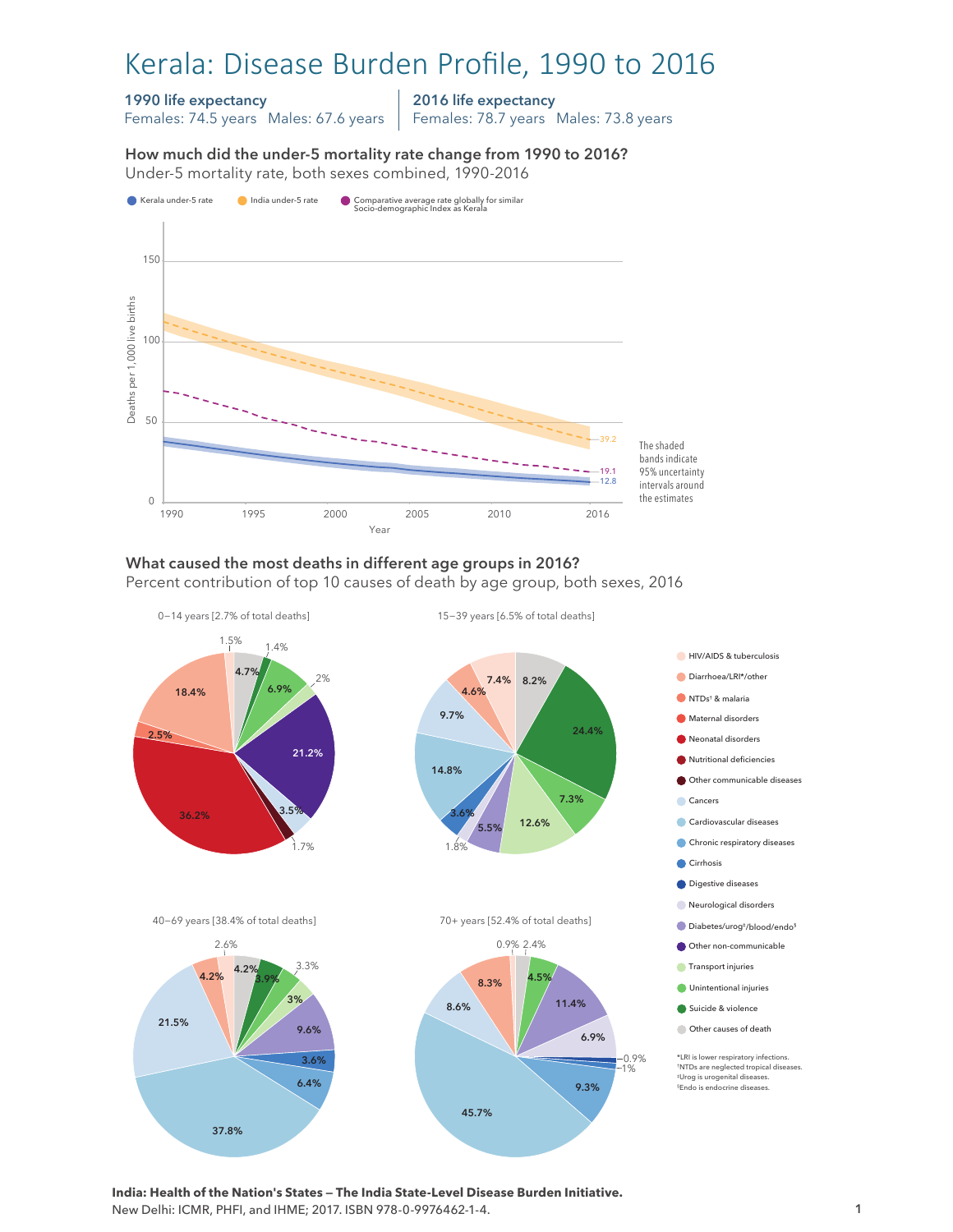# Kerala: Disease Burden Profile, 1990 to 2016

#### 1990 life expectancy

Females: 74.5 years Males: 67.6 years

2016 life expectancy

Females: 78.7 years Males: 73.8 years

How much did the under-5 mortality rate change from 1990 to 2016? Under-5 mortality rate, both sexes combined, 1990-2016 Under-5 mortality rate, both sexes combined, 1990-2016 How much did the under-5 mortality rate change from 1990 to 2016?



1990 1995 2000 2005 2010 2016 the estimates

#### What caused the most deaths in different age groups in 2016?

Year

Percent contribution of top 10 causes of death by age group, both sexes, 2016



**India: Health of the Nation's States — The India State-Level Disease Burden Initiative.**  New Delhi: ICMR, PHFI, and IHME; 2017. ISBN 978-0-9976462-1-4.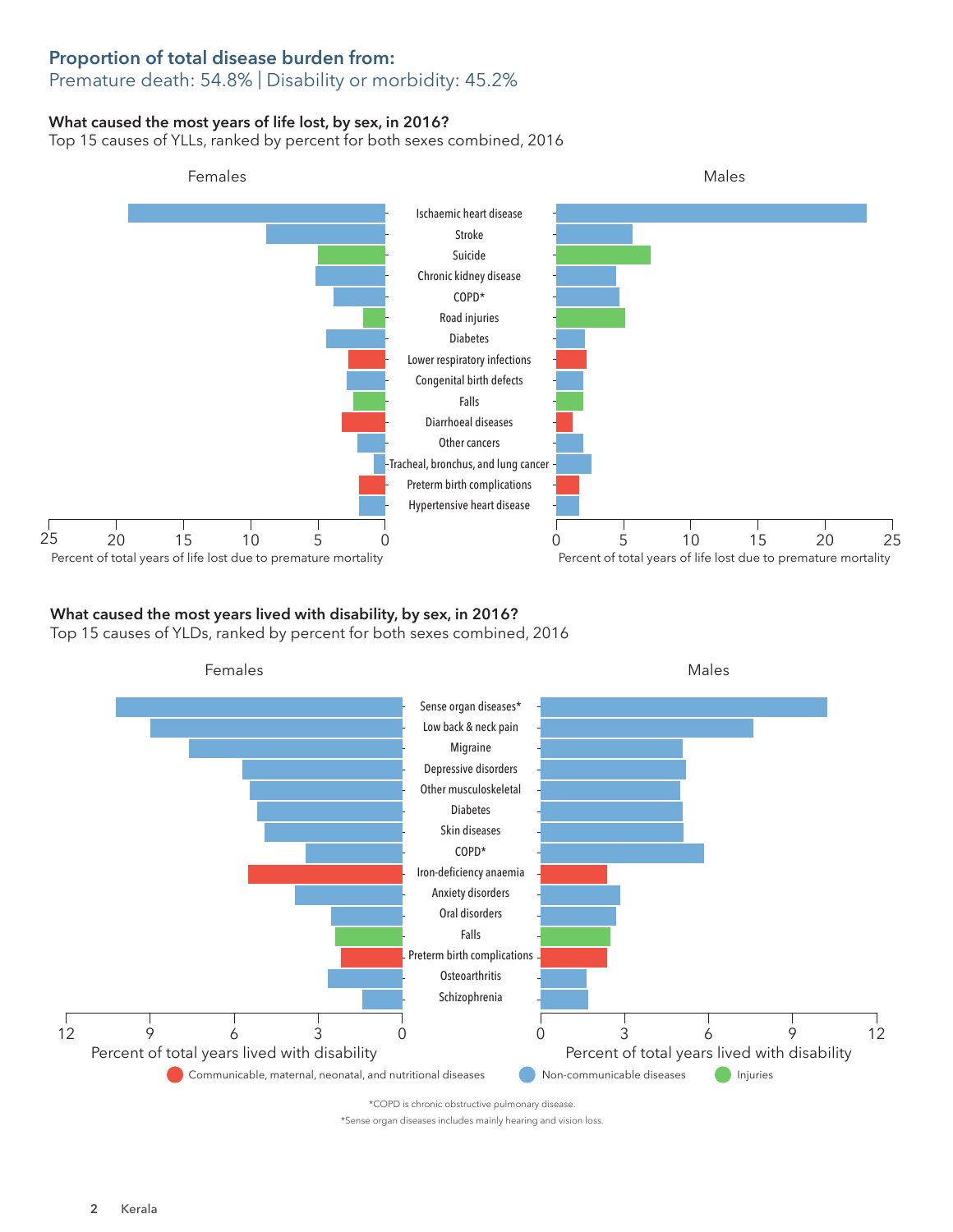## Proportion of total disease burden from:

## Premature death: 54.8% | Disability or morbidity: 45.2%

### What caused the most years of life lost, by sex, in 2016?

Top 15 causes of YLLs, ranked by percent for both sexes combined, 2016



### What caused the most years lived with disability, by sex, in 2016?

Top 15 causes of YLDs, ranked by percent for both sexes combined, 2016



\*Sense organ diseases includes mainly hearing and vision loss.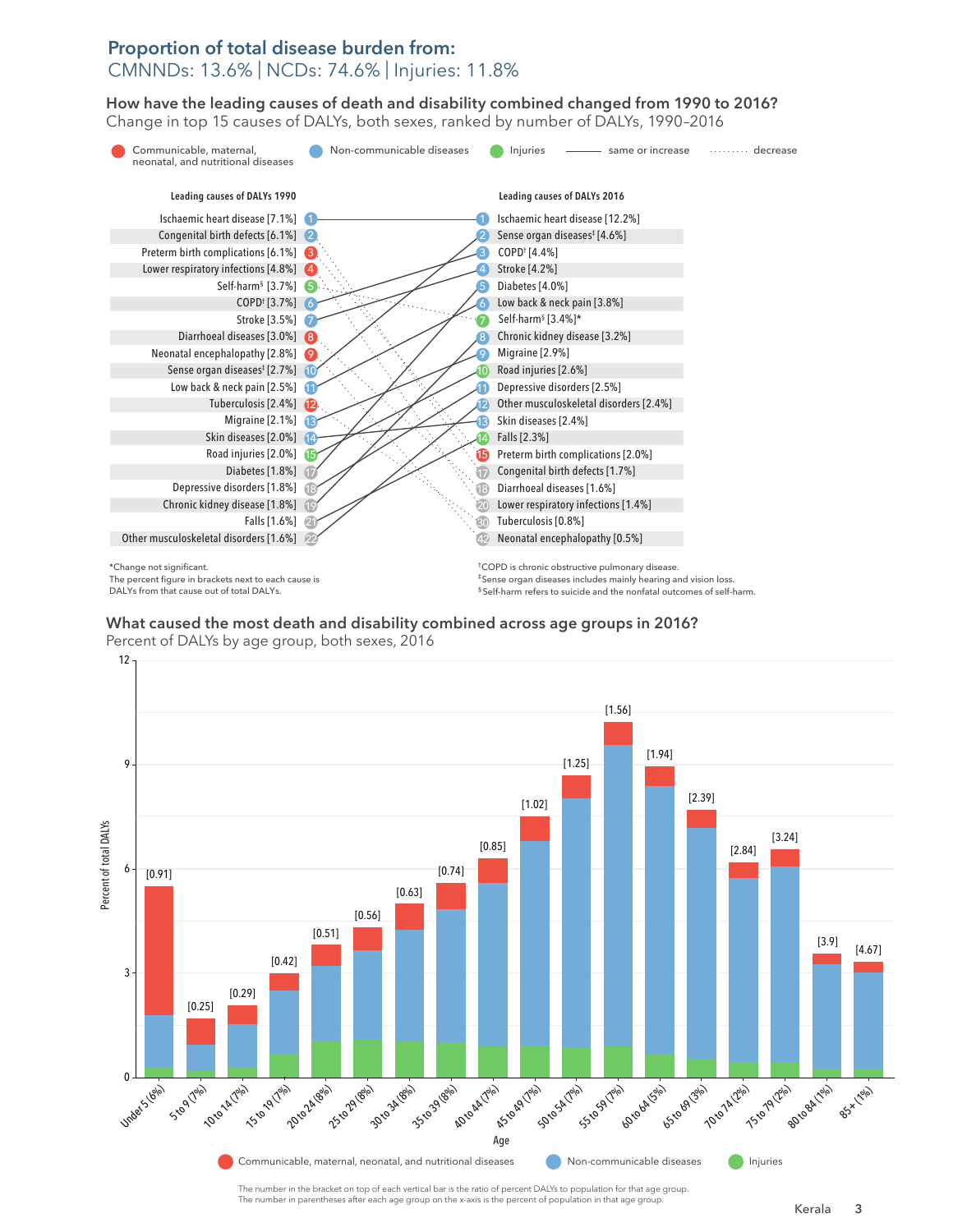#### Proportion of total disease burden from: CMNNDs: 13.6% | NCDs: 74.6% | Injuries: 11.8%

How have the leading causes of death and disability combined changed from 1990 to 2016? How have the leading causes of death and disability combined changed from 1990 to 2016? Change in top 15 causes of DALYs, both sexes, ranked by number of DALYs, 1990–2016 Change in top 15 causes of DALYs, both sexes, ranked by number of DALYs, 1990–2016



The percent figure in brackets next to each cause is DALYs from that cause out of total DALYs.

‡Sense organ diseases includes mainly hearing and vision loss. § Self-harm refers to suicide and the nonfatal outcomes of self-harm.

What caused the most death and disability combined across age groups in 2016? What caused the most death and disability combined across age groups in 2016? Percent of DALYs by age group, both sexes, 2016 Percent of DALYs by age group, both sexes, 2016



The number in parentheses after each age group on the x-axis is the percent of population in that age group.